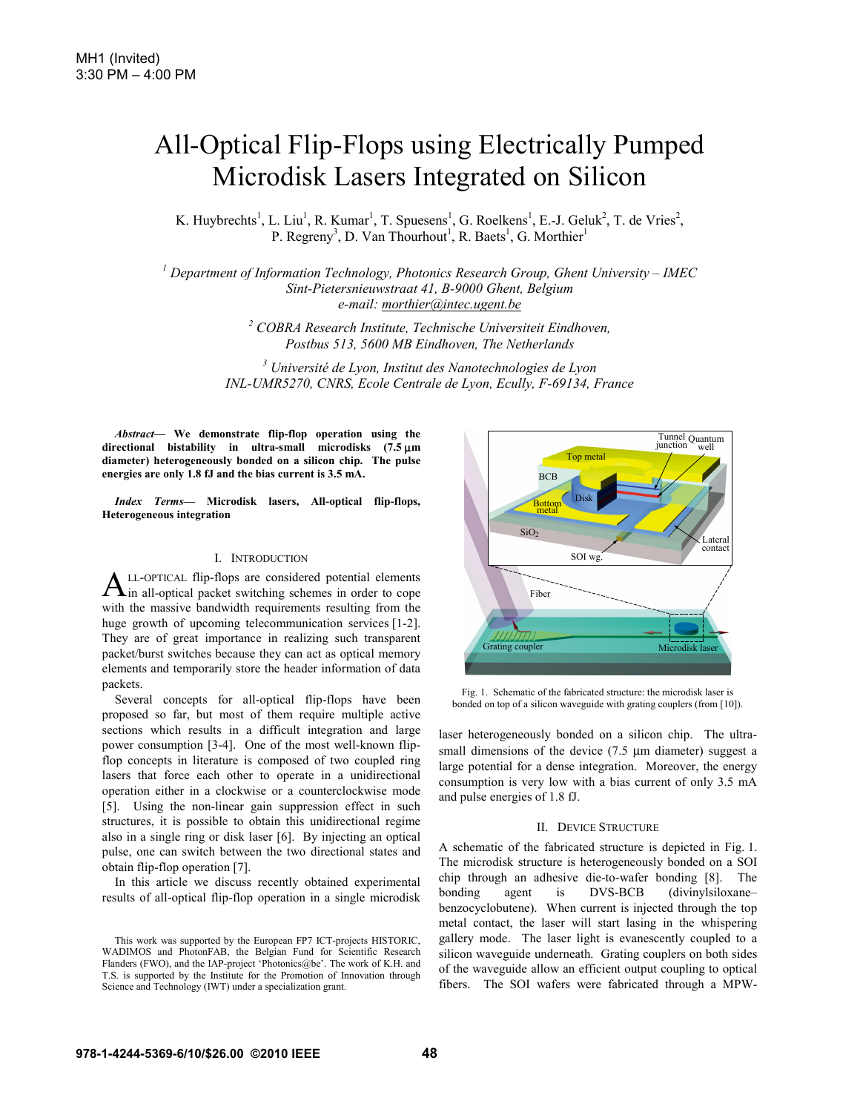# All-Optical Flip-Flops using Electrically Pumped Microdisk Lasers Integrated on Silicon

K. Huybrechts<sup>1</sup>, L. Liu<sup>1</sup>, R. Kumar<sup>1</sup>, T. Spuesens<sup>1</sup>, G. Roelkens<sup>1</sup>, E.-J. Geluk<sup>2</sup>, T. de Vries<sup>2</sup>, P. Regreny<sup>3</sup>, D. Van Thourhout<sup>1</sup>, R. Baets<sup>1</sup>, G. Morthier<sup>1</sup>

<sup>1</sup> Department of Information Technology, Photonics Research Group, Ghent University – IMEC *Sint-Pietersnieuwstraat 41, B-9000 Ghent, Belgium e-mail: morthier@intec.ugent.be*

> *2 COBRA Research Institute, Technische Universiteit Eindhoven, Postbus 513, 5600 MB Eindhoven, The Netherlands*

*3 Université de Lyon, Institut des Nanotechnologies de Lyon INL-UMR5270, CNRS, Ecole Centrale de Lyon, Ecully, F-69134, France* 

*Abstract***— We demonstrate flip-flop operation using the directional bistability in ultra-small microdisks (7.5** μ**m diameter) heterogeneously bonded on a silicon chip. The pulse energies are only 1.8 fJ and the bias current is 3.5 mA.** 

*Index Terms***— Microdisk lasers, All-optical flip-flops, Heterogeneous integration** 

## I. INTRODUCTION

LL-OPTICAL flip-flops are considered potential elements  $A$ LL-OPTICAL flip-flops are considered potential elements in order to cope with the massive bandwidth requirements resulting from the huge growth of upcoming telecommunication services [1-2]. They are of great importance in realizing such transparent packet/burst switches because they can act as optical memory elements and temporarily store the header information of data packets.

Several concepts for all-optical flip-flops have been proposed so far, but most of them require multiple active sections which results in a difficult integration and large power consumption [3-4]. One of the most well-known flipflop concepts in literature is composed of two coupled ring lasers that force each other to operate in a unidirectional operation either in a clockwise or a counterclockwise mode [5]. Using the non-linear gain suppression effect in such structures, it is possible to obtain this unidirectional regime also in a single ring or disk laser [6]. By injecting an optical pulse, one can switch between the two directional states and obtain flip-flop operation [7].

In this article we discuss recently obtained experimental results of all-optical flip-flop operation in a single microdisk



Fig. 1. Schematic of the fabricated structure: the microdisk laser is bonded on top of a silicon waveguide with grating couplers (from [10]).

laser heterogeneously bonded on a silicon chip. The ultrasmall dimensions of the device (7.5  $\mu$ m diameter) suggest a large potential for a dense integration. Moreover, the energy consumption is very low with a bias current of only 3.5 mA and pulse energies of 1.8 fJ.

## II. DEVICE STRUCTURE

A schematic of the fabricated structure is depicted in Fig. 1. The microdisk structure is heterogeneously bonded on a SOI chip through an adhesive die-to-wafer bonding [8]. The bonding agent is DVS-BCB (divinylsiloxane– benzocyclobutene). When current is injected through the top metal contact, the laser will start lasing in the whispering gallery mode. The laser light is evanescently coupled to a silicon waveguide underneath. Grating couplers on both sides of the waveguide allow an efficient output coupling to optical fibers. The SOI wafers were fabricated through a MPW-

This work was supported by the European FP7 ICT-projects HISTORIC, WADIMOS and PhotonFAB, the Belgian Fund for Scientific Research Flanders (FWO), and the IAP-project 'Photonics@be'. The work of K.H. and T.S. is supported by the Institute for the Promotion of Innovation through Science and Technology (IWT) under a specialization grant.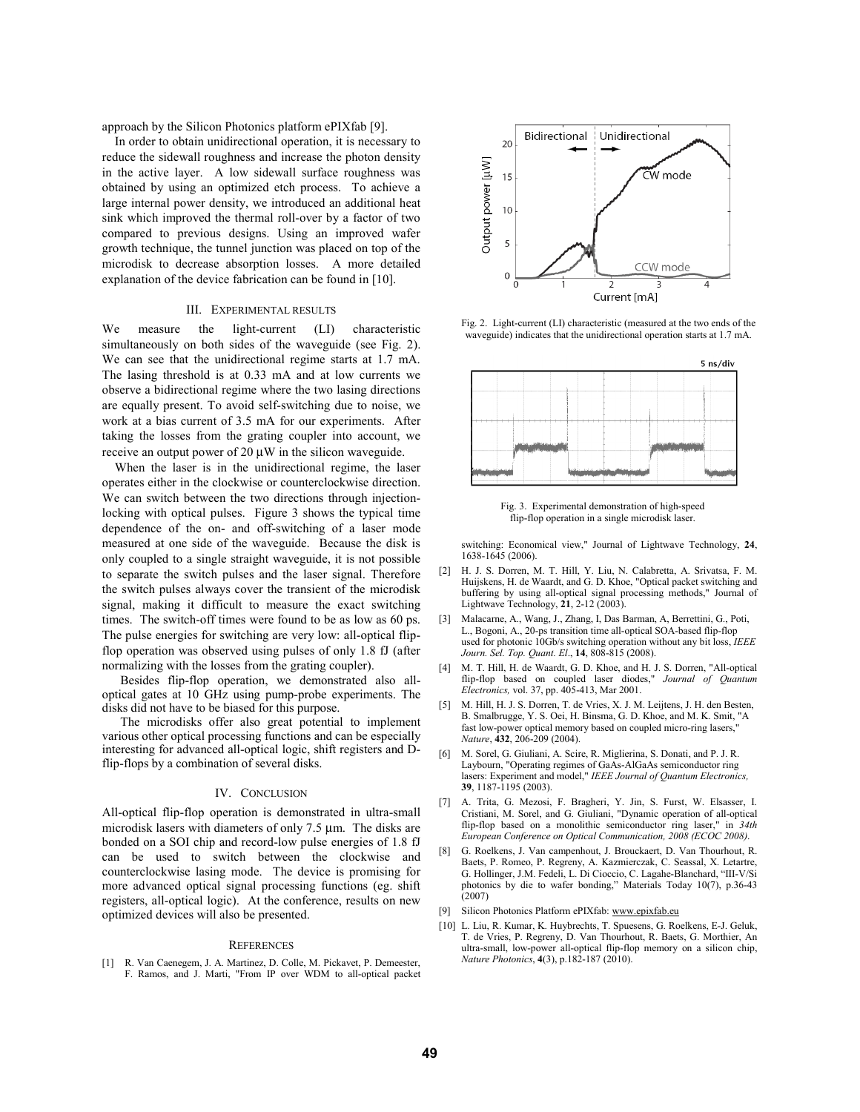approach by the Silicon Photonics platform ePIXfab [9].

In order to obtain unidirectional operation, it is necessary to reduce the sidewall roughness and increase the photon density in the active layer. A low sidewall surface roughness was obtained by using an optimized etch process. To achieve a large internal power density, we introduced an additional heat sink which improved the thermal roll-over by a factor of two compared to previous designs. Using an improved wafer growth technique, the tunnel junction was placed on top of the microdisk to decrease absorption losses. A more detailed explanation of the device fabrication can be found in [10].

# III. EXPERIMENTAL RESULTS

We measure the light-current (LI) characteristic simultaneously on both sides of the waveguide (see Fig. 2). We can see that the unidirectional regime starts at 1.7 mA. The lasing threshold is at 0.33 mA and at low currents we observe a bidirectional regime where the two lasing directions are equally present. To avoid self-switching due to noise, we work at a bias current of 3.5 mA for our experiments. After taking the losses from the grating coupler into account, we receive an output power of 20 μW in the silicon waveguide.

When the laser is in the unidirectional regime, the laser operates either in the clockwise or counterclockwise direction. We can switch between the two directions through injectionlocking with optical pulses. Figure 3 shows the typical time dependence of the on- and off-switching of a laser mode measured at one side of the waveguide. Because the disk is only coupled to a single straight waveguide, it is not possible to separate the switch pulses and the laser signal. Therefore the switch pulses always cover the transient of the microdisk signal, making it difficult to measure the exact switching times. The switch-off times were found to be as low as 60 ps. The pulse energies for switching are very low: all-optical flipflop operation was observed using pulses of only 1.8 fJ (after normalizing with the losses from the grating coupler).

Besides flip-flop operation, we demonstrated also alloptical gates at 10 GHz using pump-probe experiments. The disks did not have to be biased for this purpose.

The microdisks offer also great potential to implement various other optical processing functions and can be especially interesting for advanced all-optical logic, shift registers and Dflip-flops by a combination of several disks.

### IV. CONCLUSION

All-optical flip-flop operation is demonstrated in ultra-small microdisk lasers with diameters of only 7.5 μm. The disks are bonded on a SOI chip and record-low pulse energies of 1.8 fJ can be used to switch between the clockwise and counterclockwise lasing mode. The device is promising for more advanced optical signal processing functions (eg. shift registers, all-optical logic). At the conference, results on new optimized devices will also be presented.

#### **REFERENCES**

[1] R. Van Caenegem, J. A. Martinez, D. Colle, M. Pickavet, P. Demeester, F. Ramos, and J. Marti, "From IP over WDM to all-optical packet



Fig. 2. Light-current (LI) characteristic (measured at the two ends of the waveguide) indicates that the unidirectional operation starts at 1.7 mA.



Fig. 3. Experimental demonstration of high-speed flip-flop operation in a single microdisk laser.

switching: Economical view," Journal of Lightwave Technology, **24**, 1638-1645 (2006).

- [2] H. J. S. Dorren, M. T. Hill, Y. Liu, N. Calabretta, A. Srivatsa, F. M. Huijskens, H. de Waardt, and G. D. Khoe, "Optical packet switching and buffering by using all-optical signal processing methods," Journal of Lightwave Technology, **21**, 2-12 (2003).
- [3] Malacarne, A., Wang, J., Zhang, I, Das Barman, A, Berrettini, G., Poti, L., Bogoni, A., 20-ps transition time all-optical SOA-based flip-flop used for photonic 10Gb/s switching operation without any bit loss, *IEEE Journ. Sel. Top. Quant. El*., **14**, 808-815 (2008).
- [4] M. T. Hill, H. de Waardt, G. D. Khoe, and H. J. S. Dorren, "All-optical flip-flop based on coupled laser diodes," *Journal of Quantum Electronics,* vol. 37, pp. 405-413, Mar 2001.
- [5] M. Hill, H. J. S. Dorren, T. de Vries, X. J. M. Leijtens, J. H. den Besten, B. Smalbrugge, Y. S. Oei, H. Binsma, G. D. Khoe, and M. K. Smit, "A fast low-power optical memory based on coupled micro-ring lasers," *Nature*, **432**, 206-209 (2004).
- [6] M. Sorel, G. Giuliani, A. Scire, R. Miglierina, S. Donati, and P. J. R. Laybourn, "Operating regimes of GaAs-AlGaAs semiconductor ring lasers: Experiment and model," *IEEE Journal of Quantum Electronics,*  **39**, 1187-1195 (2003).
- [7] A. Trita, G. Mezosi, F. Bragheri, Y. Jin, S. Furst, W. Elsasser, I. Cristiani, M. Sorel, and G. Giuliani, "Dynamic operation of all-optical flip-flop based on a monolithic semiconductor ring laser," in *34th European Conference on Optical Communication, 2008 (ECOC 2008)*.
- [8] G. Roelkens, J. Van campenhout, J. Brouckaert, D. Van Thourhout, R. Baets, P. Romeo, P. Regreny, A. Kazmierczak, C. Seassal, X. Letartre, G. Hollinger, J.M. Fedeli, L. Di Cioccio, C. Lagahe-Blanchard, "III-V/Si photonics by die to wafer bonding," Materials Today 10(7), p.36-43  $(2007)$
- [9] Silicon Photonics Platform ePIXfab: www.epixfab.eu
- [10] L. Liu, R. Kumar, K. Huybrechts, T. Spuesens, G. Roelkens, E-J. Geluk, T. de Vries, P. Regreny, D. Van Thourhout, R. Baets, G. Morthier, An ultra-small, low-power all-optical flip-flop memory on a silicon chip, *Nature Photonics*, **4**(3), p.182-187 (2010).